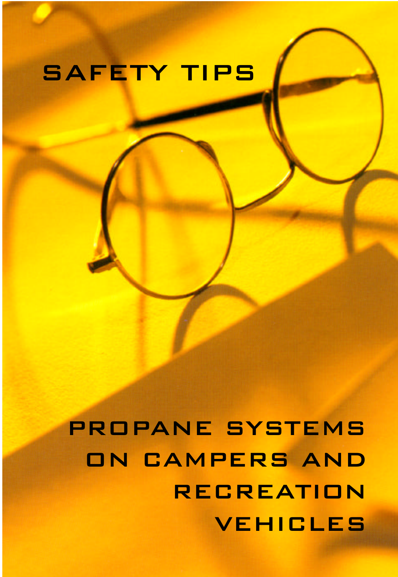# SAFETY TIPS

PROPANE SYSTEMS ON CAMPERS AND RECREATION VEHICLES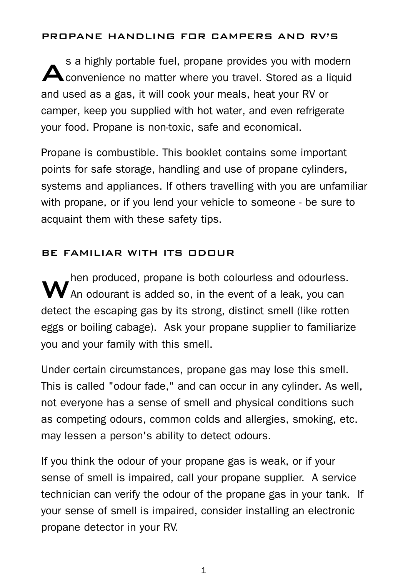#### PROPANE HANDLING FOR CAMPERS AND RV'S

s a highly portable fuel, propane provides you with modern<br>Convenience no matter where you travel. Stored as a liquid s a highly portable fuel, propane provides you with modern and used as a gas, it will cook your meals, heat your RV or camper, keep you supplied with hot water, and even refrigerate your food. Propane is non-toxic, safe and economical.

Propane is combustible. This booklet contains some important points for safe storage, handling and use of propane cylinders, systems and appliances. If others travelling with you are unfamiliar with propane, or if you lend your vehicle to someone - be sure to acquaint them with these safety tips.

## BE FAMILIAR WITH ITS ODOUR

**W** hen produced, propane is both colourless and odourless<br>**W** An odourant is added so, in the event of a leak, you can hen produced, propane is both colourless and odourless. detect the escaping gas by its strong, distinct smell (like rotten eggs or boiling cabage). Ask your propane supplier to familiarize you and your family with this smell.

Under certain circumstances, propane gas may lose this smell. This is called "odour fade," and can occur in any cylinder. As well, not everyone has a sense of smell and physical conditions such as competing odours, common colds and allergies, smoking, etc. may lessen a person's ability to detect odours.

If you think the odour of your propane gas is weak, or if your sense of smell is impaired, call your propane supplier. A service technician can verify the odour of the propane gas in your tank. If your sense of smell is impaired, consider installing an electronic propane detector in your RV.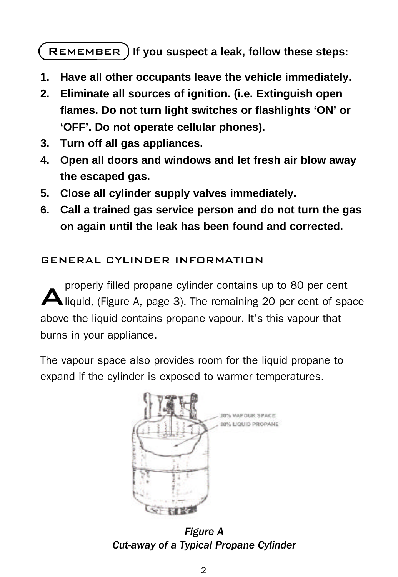REMEMBER ) If you suspect a leak, follow these steps:

- **1. Have all other occupants leave the vehicle immediately.**
- **2. Eliminate all sources of ignition. (i.e. Extinguish open flames. Do not turn light switches or flashlights 'ON' or 'OFF'. Do not operate cellular phones).**
- **3. Turn off all gas appliances.**
- **4. Open all doors and windows and let fresh air blow away the escaped gas.**
- **5. Close all cylinder supply valves immediately.**
- **6. Call a trained gas service person and do not turn the gas on again until the leak has been found and corrected.**

## GENERAL CYLINDER INFORMATION

A properly filled propane cylinder contains up to 80 per cent liquid, (Figure A, page 3). The remaining 20 per cent of space above the liquid contains propane vapour. It's this vapour that burns in your appliance.

The vapour space also provides room for the liquid propane to expand if the cylinder is exposed to warmer temperatures.



*Figure A Cut-away of a Typical Propane Cylinder*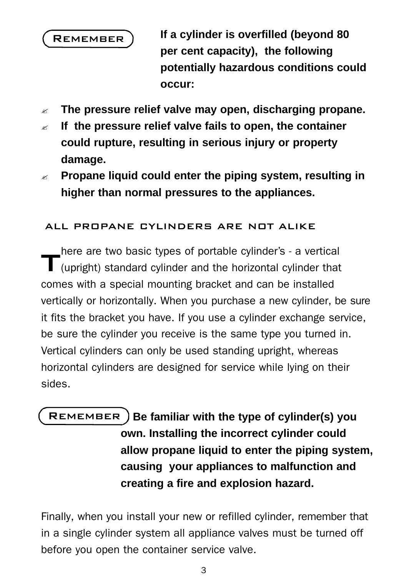

**If a cylinder is overfilled (beyond 80 per cent capacity), the following potentially hazardous conditions could occur:**

- ? **The pressure relief valve may open, discharging propane.**
- ? **If the pressure relief valve fails to open, the container could rupture, resulting in serious injury or property damage.**
- ? **Propane liquid could enter the piping system, resulting in higher than normal pressures to the appliances.**

## ALL PROPANE CYLINDERS ARE NOT ALIKE

T here are two basic types of portable cylinder's - a vertical (upright) standard cylinder and the horizontal cylinder that comes with a special mounting bracket and can be installed vertically or horizontally. When you purchase a new cylinder, be sure it fits the bracket you have. If you use a cylinder exchange service, be sure the cylinder you receive is the same type you turned in. Vertical cylinders can only be used standing upright, whereas horizontal cylinders are designed for service while lying on their sides.

REMEMBER ) Be familiar with the type of cylinder(s) you **own. Installing the incorrect cylinder could allow propane liquid to enter the piping system, causing your appliances to malfunction and creating a fire and explosion hazard.**

Finally, when you install your new or refilled cylinder, remember that in a single cylinder system all appliance valves must be turned off before you open the container service valve.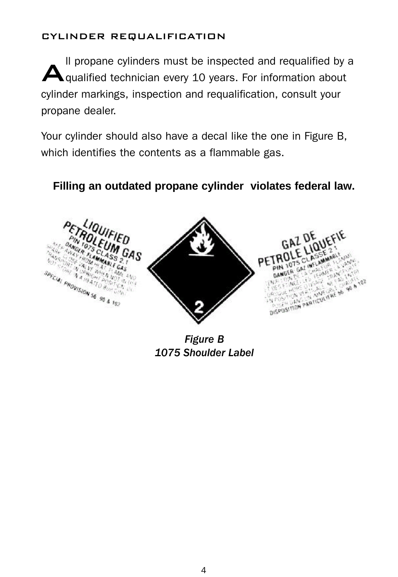#### CYLINDER REQUALIFICATION

Il propane cylinders must be inspected and requalified by<br> **A** qualified technician every 10 years. For information about ll propane cylinders must be inspected and requalified by a cylinder markings, inspection and requalification, consult your propane dealer.

Your cylinder should also have a decal like the one in Figure B, which identifies the contents as a flammable gas.

## **Filling an outdated propane cylinder violates federal law.**



*Figure B 1075 Shoulder Label*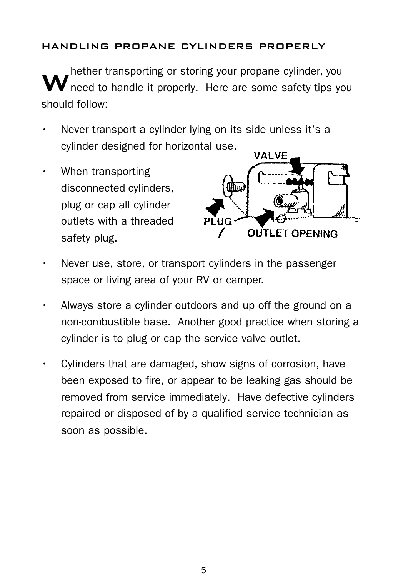## HANDLING PROPANE CYLINDERS PROPERLY

W hether transporting or storing your propane cylinder, you need to handle it properly. Here are some safety tips you should follow:

- Never transport a cylinder lying on its side unless it's a cylinder designed for horizontal use.
- When transporting disconnected cylinders, plug or cap all cylinder outlets with a threaded safety plug.



- Never use, store, or transport cylinders in the passenger space or living area of your RV or camper.
- Always store a cylinder outdoors and up off the ground on a non-combustible base. Another good practice when storing a cylinder is to plug or cap the service valve outlet.
- Cylinders that are damaged, show signs of corrosion, have been exposed to fire, or appear to be leaking gas should be removed from service immediately. Have defective cylinders repaired or disposed of by a qualified service technician as soon as possible.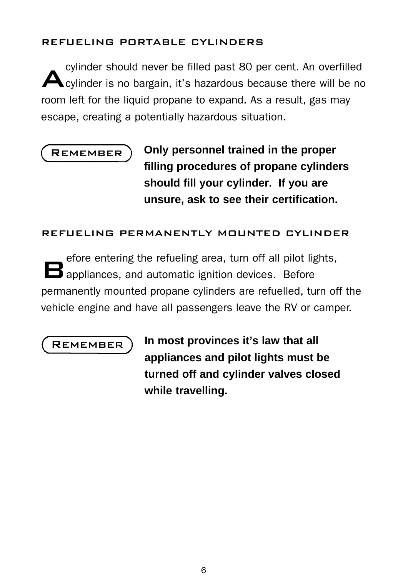## REFUELING PORTABLE CYLINDERS

A cylinder should never be filled past 80 per cent. An overfilled cylinder is no bargain, it's hazardous because there will be no room left for the liquid propane to expand. As a result, gas may escape, creating a potentially hazardous situation.

# **REMEMBER**

**Only personnel trained in the proper filling procedures of propane cylinders should fill your cylinder. If you are unsure, ask to see their certification.**

## REFUELING PERMANENTLY MOUNTED CYLINDER

B efore entering the refueling area, turn off all pilot lights, appliances, and automatic ignition devices. Before permanently mounted propane cylinders are refuelled, turn off the vehicle engine and have all passengers leave the RV or camper.

**REMEMBER** 

**In most provinces it's law that all appliances and pilot lights must be turned off and cylinder valves closed while travelling.**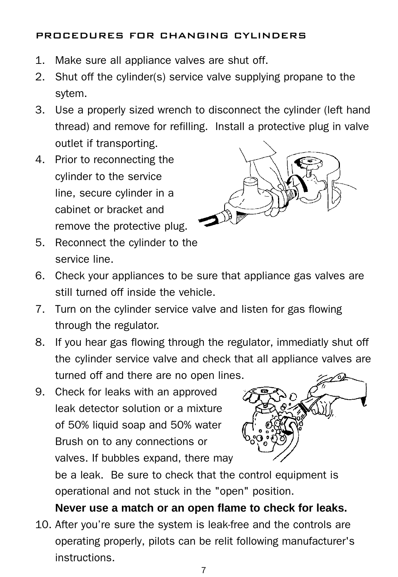## PROCEDURES FOR CHANGING CYLINDERS

- 1. Make sure all appliance valves are shut off.
- 2. Shut off the cylinder(s) service valve supplying propane to the sytem.
- 3. Use a properly sized wrench to disconnect the cylinder (left hand thread) and remove for refilling. Install a protective plug in valve outlet if transporting.
- 4. Prior to reconnecting the cylinder to the service line, secure cylinder in a cabinet or bracket and remove the protective plug.



- 5. Reconnect the cylinder to the service line.
- 6. Check your appliances to be sure that appliance gas valves are still turned off inside the vehicle.
- 7. Turn on the cylinder service valve and listen for gas flowing through the regulator.
- 8. If you hear gas flowing through the regulator, immediatly shut off the cylinder service valve and check that all appliance valves are turned off and there are no open lines.
- 9. Check for leaks with an approved leak detector solution or a mixture of 50% liquid soap and 50% water Brush on to any connections or valves. If bubbles expand, there may



be a leak. Be sure to check that the control equipment is operational and not stuck in the "open" position.

## **Never use a match or an open flame to check for leaks.**

10. After you're sure the system is leak-free and the controls are operating properly, pilots can be relit following manufacturer's instructions.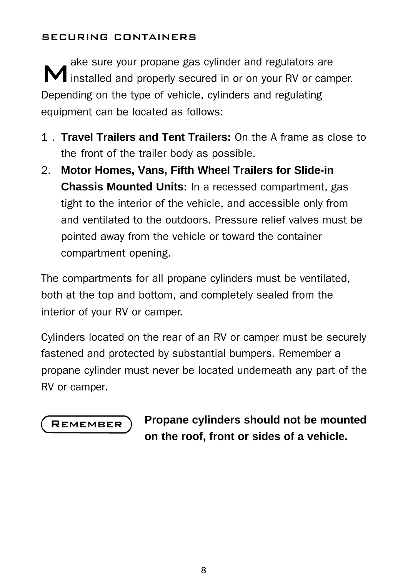### SECURING CONTAINERS

ake sure your propane gas cylinder and regulators are<br> **M** installed and properly secured in or on your RV or camper. ake sure your propane gas cylinder and regulators are Depending on the type of vehicle, cylinders and regulating equipment can be located as follows:

- 1 . **Travel Trailers and Tent Trailers:** On the A frame as close to the front of the trailer body as possible.
- 2. **Motor Homes, Vans, Fifth Wheel Trailers for Slide-in Chassis Mounted Units:** In a recessed compartment, gas tight to the interior of the vehicle, and accessible only from and ventilated to the outdoors. Pressure relief valves must be pointed away from the vehicle or toward the container compartment opening.

The compartments for all propane cylinders must be ventilated, both at the top and bottom, and completely sealed from the interior of your RV or camper.

Cylinders located on the rear of an RV or camper must be securely fastened and protected by substantial bumpers. Remember a propane cylinder must never be located underneath any part of the RV or camper.



**Propane cylinders should not be mounted on the roof, front or sides of a vehicle.**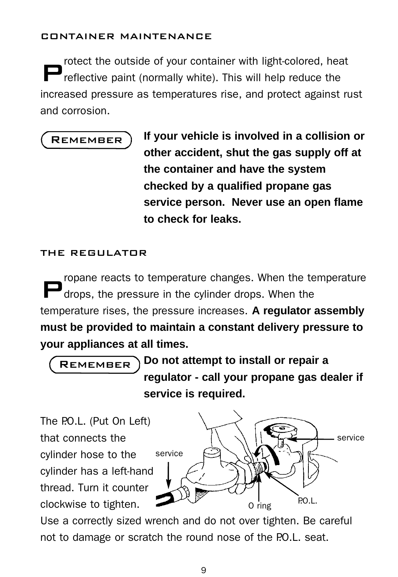#### CONTAINER MAINTENANCE

P rotect the outside of your container with light-colored, heat reflective paint (normally white). This will help reduce the increased pressure as temperatures rise, and protect against rust and corrosion.

## **REMEMBER**

**If your vehicle is involved in a collision or other accident, shut the gas supply off at the container and have the system checked by a qualified propane gas service person. Never use an open flame to check for leaks.**

## THE REGULATOR

P ropane reacts to temperature changes. When the temperature drops, the pressure in the cylinder drops. When the temperature rises, the pressure increases. **A regulator assembly must be provided to maintain a constant delivery pressure to your appliances at all times.** 

**Do not attempt to install or repair a regulator - call your propane gas dealer if service is required. REMEMBER** 

The PO.L. (Put On Left) that connects the cylinder hose to the cylinder has a left-hand thread. Turn it counter clockwise to tighten. service

service  $\overline{O}$  ring P.O.L.

Use a correctly sized wrench and do not over tighten. Be careful not to damage or scratch the round nose of the P.O.L. seat.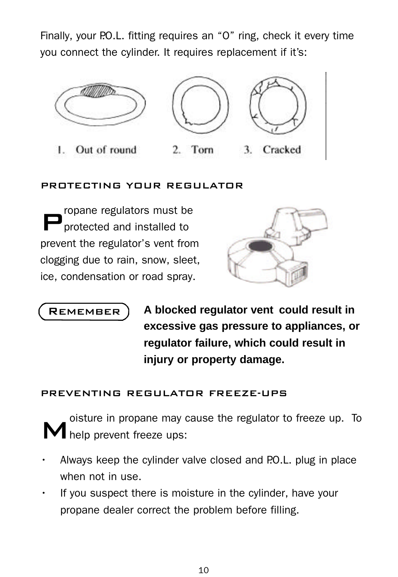Finally, your P.O.L. fitting requires an "O" ring, check it every time you connect the cylinder. It requires replacement if it's:



## PROTECTING YOUR REGULATOR

P ropane regulators must be protected and installed to prevent the regulator's vent from clogging due to rain, snow, sleet, ice, condensation or road spray.



**REMEMBER** 

**A blocked regulator vent could result in excessive gas pressure to appliances, or regulator failure, which could result in injury or property damage.**

## PREVENTING REGULATOR FREEZE-UPS

M oisture in propane may cause the regulator to freeze up. To help prevent freeze ups:

- Always keep the cylinder valve closed and P.O.L. plug in place when not in use.
- If you suspect there is moisture in the cylinder, have your propane dealer correct the problem before filling.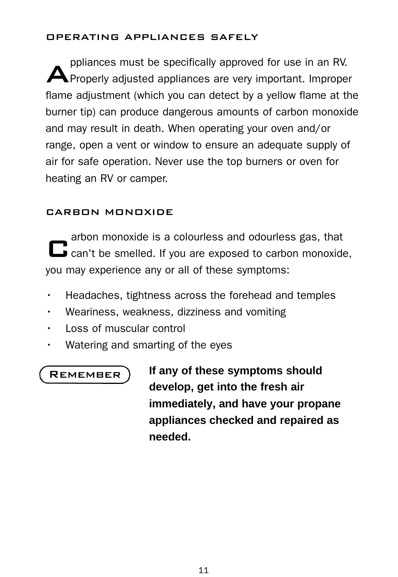## OPERATING APPLIANCES SAFELY

ppliances must be specifically approved for use in an RV.<br>A Properly adjusted appliances are very important. Improper ppliances must be specifically approved for use in an RV. flame adjustment (which you can detect by a yellow flame at the burner tip) can produce dangerous amounts of carbon monoxide and may result in death. When operating your oven and/or range, open a vent or window to ensure an adequate supply of air for safe operation. Never use the top burners or oven for heating an RV or camper.

## CARBON MONOXIDE

arbon monoxide is a colourless and odourless gas, that<br>
can't be smelled. If you are exposed to carbon monoxide, arbon monoxide is a colourless and odourless gas, that you may experience any or all of these symptoms:

- Headaches, tightness across the forehead and temples
- Weariness, weakness, dizziness and vomiting
- Loss of muscular control
- Watering and smarting of the eyes

## **REMEMBER**

**If any of these symptoms should develop, get into the fresh air immediately, and have your propane appliances checked and repaired as needed.**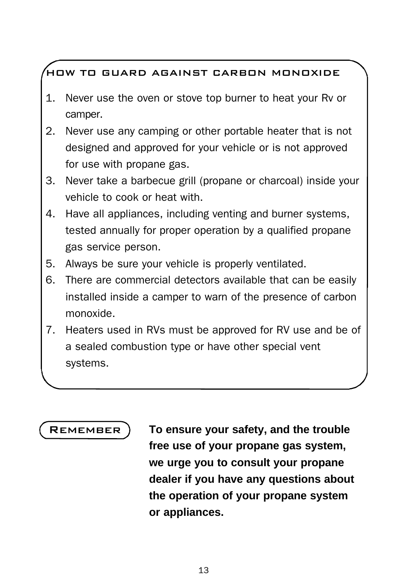# HOW TO GUARD AGAINST CARBON MONOXIDE

- 1. Never use the oven or stove top burner to heat your Rv or camper.
- 2. Never use any camping or other portable heater that is not designed and approved for your vehicle or is not approved for use with propane gas.
- 3. Never take a barbecue grill (propane or charcoal) inside your vehicle to cook or heat with.
- 4. Have all appliances, including venting and burner systems, tested annually for proper operation by a qualified propane gas service person.
- 5. Always be sure your vehicle is properly ventilated.
- 6. There are commercial detectors available that can be easily installed inside a camper to warn of the presence of carbon monoxide.
- 7. Heaters used in RVs must be approved for RV use and be of a sealed combustion type or have other special vent systems.

**REMEMBER** 

**To ensure your safety, and the trouble free use of your propane gas system, we urge you to consult your propane dealer if you have any questions about the operation of your propane system or appliances.**